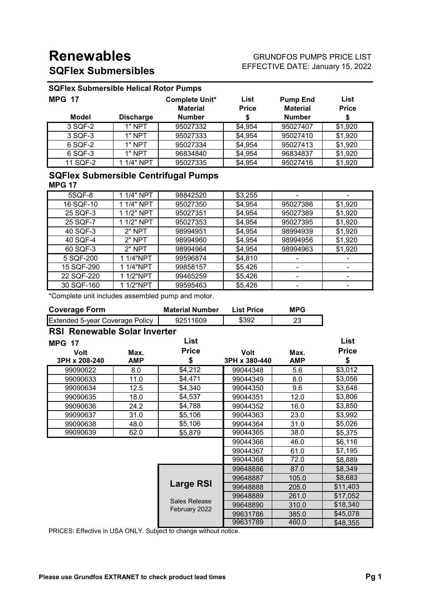# **Renewables SQFlex Submersibles**

#### GRUNDFOS PUMPS PRICE LIST EFFECTIVE DATE: January 15, 2022

## **SQFlex Submersible Helical Rotor Pumps**

| <b>MPG 17</b> |                  | <b>Complete Unit*</b><br><b>Material</b> | List<br><b>Price</b> | <b>Pump End</b><br><b>Material</b> | List<br><b>Price</b> |
|---------------|------------------|------------------------------------------|----------------------|------------------------------------|----------------------|
| <b>Model</b>  | <b>Discharge</b> | <b>Number</b>                            | S                    | <b>Number</b>                      |                      |
| 3 SQF-2       | 1" NPT           | 95027332                                 | \$4,954              | 95027407                           | \$1,920              |
| 3 SQF-3       | 1" NPT           | 95027333                                 | \$4,954              | 95027410                           | \$1,920              |
| 6 SQF-2       | 1" NPT           | 95027334                                 | \$4,954              | 95027413                           | \$1,920              |
| 6 SQF-3       | 1" NPT           | 96834840                                 | \$4,954              | 96834837                           | \$1,920              |
| 11 SQF-2      | 1 1/4" NPT       | 95027335                                 | \$4,954              | 95027416                           | \$1,920              |

### **SQFlex Submersible Centrifugal Pumps MPG 17**

| 5SQF-8     | 1 1/4" NPT | 98842520 | \$3,255 |          |         |
|------------|------------|----------|---------|----------|---------|
| 16 SQF-10  | 1 1/4" NPT | 95027350 | \$4,954 | 95027386 | \$1,920 |
| 25 SQF-3   | 1 1/2" NPT | 95027351 | \$4,954 | 95027389 | \$1,920 |
| 25 SQF-7   | 1 1/2" NPT | 95027353 | \$4,954 | 95027395 | \$1,920 |
| 40 SQF-3   | $2"$ NPT   | 98994951 | \$4,954 | 98994939 | \$1,920 |
| 40 SQF-4   | $2"$ NPT   | 98994960 | \$4,954 | 98994956 | \$1,920 |
| 60 SQF-3   | 2" NPT     | 98994964 | \$4,954 | 98994963 | \$1,920 |
| 5 SQF-200  | 1 1/4"NPT  | 99596874 | \$4,810 |          |         |
| 15 SQF-290 | 1 1/4"NPT  | 99858157 | \$5,426 |          |         |
| 22 SQF-220 | 1 1/2"NPT  | 99465259 | \$5,426 |          |         |
| 30 SQF-160 | 1 1/2"NPT  | 99595463 | \$5,426 |          |         |

\*Complete unit includes assembled pump and motor.

| <b>Coverage Form</b>                |            | <b>Material Number</b>         | <b>List Price</b> | <b>MPG</b> |              |
|-------------------------------------|------------|--------------------------------|-------------------|------------|--------------|
| Extended 5-year Coverage Policy     |            | 92511609                       | \$392             | 23         |              |
| <b>RSI Renewable Solar Inverter</b> |            |                                |                   |            |              |
| <b>MPG 17</b>                       |            | List                           |                   |            | List         |
| <b>Volt</b>                         | Max.       | <b>Price</b>                   | <b>Volt</b>       | Max.       | <b>Price</b> |
| 3PH x 208-240                       | <b>AMP</b> | \$                             | 3PH x 380-440     | <b>AMP</b> | \$           |
| 99090622                            | 8.0        | \$4,212                        | 99044348          | 5.6        | \$3,012      |
| 99090633                            | 11.0       | \$4,471                        | 99044349          | 8.0        | \$3,056      |
| 99090634                            | 12.5       | \$4,340                        | 99044350          | 9.6        | \$3,648      |
| 99090635                            | 18.0       | \$4,537                        | 99044351          | 12.0       | \$3,806      |
| 99090636                            | 24.2       | \$4,788                        | 99044352          | 16.0       | \$3,850      |
| 99090637                            | 31.0       | \$5,106                        | 99044363          | 23.0       | \$3,992      |
| 99090638                            | 48.0       | \$5,106                        | 99044364          | 31.0       | \$5,026      |
| 99090639                            | 62.0       | \$5,879                        | 99044365          | 38.0       | \$5,375      |
|                                     |            |                                | 99044366          | 46.0       | \$6,116      |
|                                     |            |                                | 99044367          | 61.0       | \$7,195      |
|                                     |            |                                | 99044368          | 72.0       | \$8,889      |
|                                     |            |                                | 99648886          | 87.0       | \$8,349      |
|                                     |            |                                | 99648887          | 105.0      | \$8,683      |
|                                     |            | <b>Large RSI</b>               | 99648888          | 205.0      | \$11,403     |
|                                     |            |                                | 99648889          | 261.0      | \$17,052     |
|                                     |            | Sales Release<br>February 2022 | 99648890          | 310.0      | \$18,340     |
|                                     |            |                                | 99631786          | 385.0      | \$45,078     |
|                                     |            |                                | 99631789          | 460.0      | \$48,355     |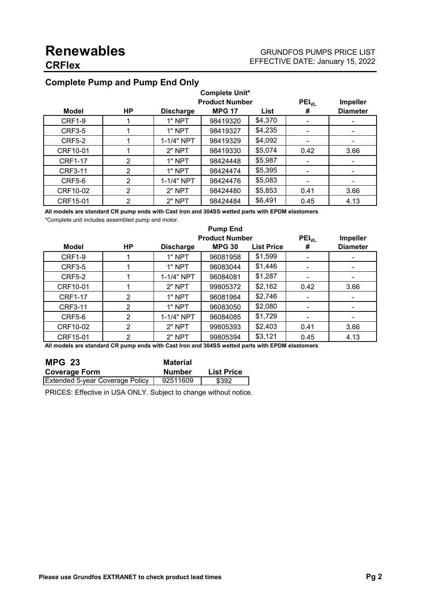## **Complete Pump and Pump End Only**

| <b>Complete Unit*</b> |                |                  |                       |         |            |                 |
|-----------------------|----------------|------------------|-----------------------|---------|------------|-----------------|
|                       |                |                  | <b>Product Number</b> |         | $PEI_{VL}$ | <b>Impeller</b> |
| <b>Model</b>          | НP             | <b>Discharge</b> | <b>MPG 17</b>         | List    | #          | <b>Diameter</b> |
| <b>CRF1-9</b>         |                | 1" NPT           | 98419320              | \$4,370 |            | ۰               |
| <b>CRF3-5</b>         |                | 1" NPT           | 98419327              | \$4,235 |            |                 |
| <b>CRF5-2</b>         |                | 1-1/4" NPT       | 98419329              | \$4,092 |            |                 |
| CRF10-01              |                | 2" NPT           | 98419330              | \$5,074 | 0.42       | 3.66            |
| <b>CRF1-17</b>        | 2              | 1" NPT           | 98424448              | \$5,987 |            |                 |
| <b>CRF3-11</b>        | $\overline{2}$ | 1" NPT           | 98424474              | \$5,395 |            | ۰               |
| <b>CRF5-6</b>         | 2              | 1-1/4" NPT       | 98424476              | \$5,083 |            |                 |
| CRF10-02              | 2              | 2" NPT           | 98424480              | \$5,853 | 0.41       | 3.66            |
| CRF15-01              | $\overline{2}$ | 2" NPT           | 98424484              | \$6,491 | 0.45       | 4.13            |

**All models are standard CR pump ends with Cast Iron and 304SS wetted parts with EPDM elastomers**

\*Complete unit includes assembled pump and motor.

|                | <b>Pump End</b> |                  |                                        |                   |                 |                                    |
|----------------|-----------------|------------------|----------------------------------------|-------------------|-----------------|------------------------------------|
| <b>Model</b>   | HP              | <b>Discharge</b> | <b>Product Number</b><br><b>MPG 30</b> | <b>List Price</b> | $PEI_{VL}$<br># | <b>Impeller</b><br><b>Diameter</b> |
| <b>CRF1-9</b>  |                 | 1" NPT           | 96081958                               | \$1,599           |                 |                                    |
| <b>CRF3-5</b>  |                 | 1" NPT           | 96083044                               | \$1,446           |                 |                                    |
| <b>CRF5-2</b>  |                 | 1-1/4" NPT       | 96084081                               | \$1,287           |                 | ۰                                  |
| CRF10-01       |                 | $2"$ NPT         | 99805372                               | \$2,162           | 0.42            | 3.66                               |
| <b>CRF1-17</b> | 2               | 1" NPT           | 96081964                               | \$2,746           |                 | ۰                                  |
| <b>CRF3-11</b> | 2               | 1" NPT           | 96083050                               | \$2,080           |                 |                                    |
| <b>CRF5-6</b>  | $\overline{2}$  | 1-1/4" NPT       | 96084085                               | \$1,729           |                 |                                    |
| CRF10-02       | $\overline{2}$  | 2" NPT           | 99805393                               | \$2,403           | 0.41            | 3.66                               |
| CRF15-01       | C               | 2" NPT           | 99805394                               | \$3,121           | 0.45            | 4.13                               |

**All models are standard CR pump ends with Cast Iron and 304SS wetted parts with EPDM elastomers**

| <b>MPG 23</b>                          | <b>Material</b> |                   |
|----------------------------------------|-----------------|-------------------|
| <b>Coverage Form</b>                   | <b>Number</b>   | <b>List Price</b> |
| <b>Extended 5-year Coverage Policy</b> | 92511609        | \$392             |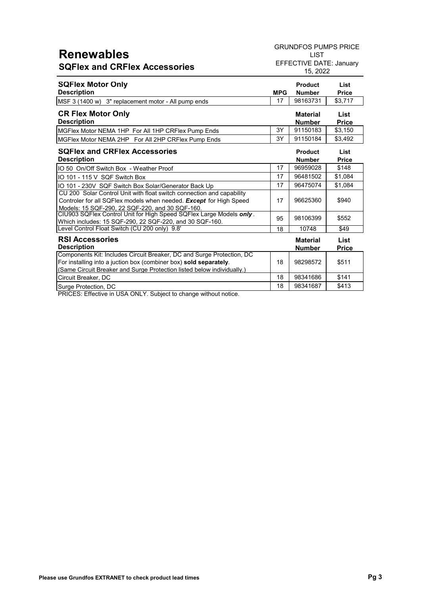## **Renewables SQFlex and CRFlex Accessories**

GRUNDFOS PUMPS PRICE

LIST EFFECTIVE DATE: January 15, 2022

| <b>MPG</b> | <b>Product</b><br><b>Number</b>  | List<br><b>Price</b>        |
|------------|----------------------------------|-----------------------------|
| 17         | 98163731                         | \$3,717                     |
|            | <b>Material</b><br><b>Number</b> | List<br><b>Price</b>        |
| 3Y         | 91150183                         | \$3,150                     |
| 3Υ         | 91150184                         | \$3,492                     |
|            | <b>Product</b><br><b>Number</b>  | <b>List</b><br><b>Price</b> |
| 17         | 96959028                         | \$148                       |
| 17         | 96481502                         | \$1,084                     |
| 17         | 96475074                         | \$1,084                     |
| 17         | 96625360                         | \$940                       |
| 95         | 98106399                         | \$552                       |
| 18         | 10748                            | \$49                        |
|            | <b>Material</b><br><b>Number</b> | List<br><b>Price</b>        |
| 18         | 98298572                         | \$511                       |
|            |                                  |                             |

<u>Circuit Breaker, DC</u><br>Circuit Breaker, DC<br>Surge Protection, DC 18 98341687 \$413 Surge Protection, DC 18 98341687 | \$413